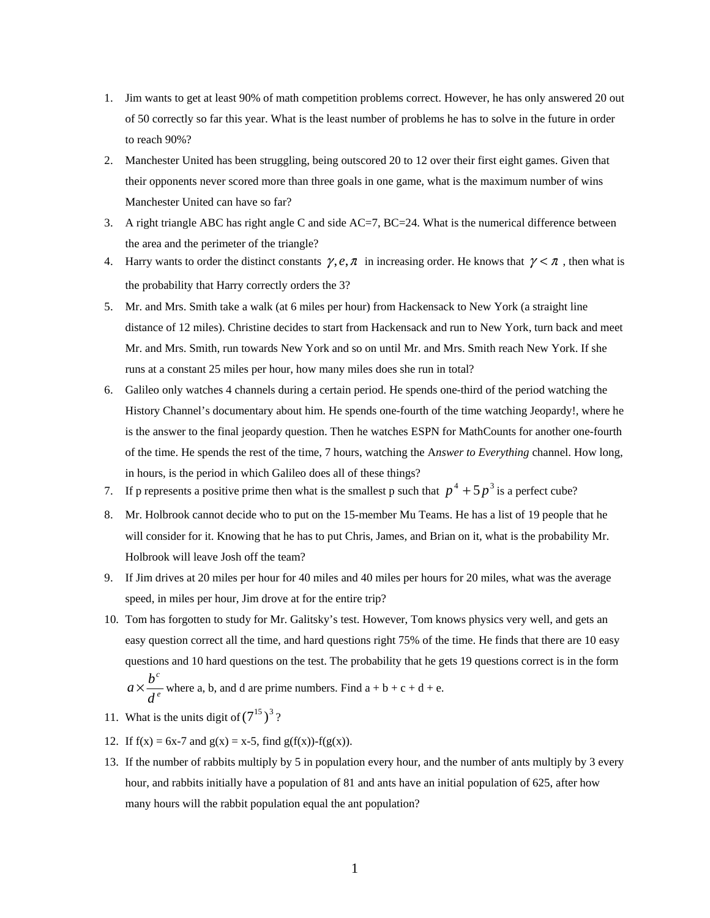- 1. Jim wants to get at least 90% of math competition problems correct. However, he has only answered 20 out of 50 correctly so far this year. What is the least number of problems he has to solve in the future in order to reach 90%?
- 2. Manchester United has been struggling, being outscored 20 to 12 over their first eight games. Given that their opponents never scored more than three goals in one game, what is the maximum number of wins Manchester United can have so far?
- 3. A right triangle ABC has right angle C and side AC=7, BC=24. What is the numerical difference between the area and the perimeter of the triangle?
- 4. Harry wants to order the distinct constants  $\gamma$ ,  $e$ ,  $\pi$  in increasing order. He knows that  $\gamma < \pi$ , then what is the probability that Harry correctly orders the 3?
- 5. Mr. and Mrs. Smith take a walk (at 6 miles per hour) from Hackensack to New York (a straight line distance of 12 miles). Christine decides to start from Hackensack and run to New York, turn back and meet Mr. and Mrs. Smith, run towards New York and so on until Mr. and Mrs. Smith reach New York. If she runs at a constant 25 miles per hour, how many miles does she run in total?
- 6. Galileo only watches 4 channels during a certain period. He spends one-third of the period watching the History Channel's documentary about him. He spends one-fourth of the time watching Jeopardy!, where he is the answer to the final jeopardy question. Then he watches ESPN for MathCounts for another one-fourth of the time. He spends the rest of the time, 7 hours, watching the A*nswer to Everything* channel. How long, in hours, is the period in which Galileo does all of these things?
- 7. If p represents a positive prime then what is the smallest p such that  $p^4 + 5p^3$  is a perfect cube?
- 8. Mr. Holbrook cannot decide who to put on the 15-member Mu Teams. He has a list of 19 people that he will consider for it. Knowing that he has to put Chris, James, and Brian on it, what is the probability Mr. Holbrook will leave Josh off the team?
- 9. If Jim drives at 20 miles per hour for 40 miles and 40 miles per hours for 20 miles, what was the average speed, in miles per hour, Jim drove at for the entire trip?
- 10. Tom has forgotten to study for Mr. Galitsky's test. However, Tom knows physics very well, and gets an easy question correct all the time, and hard questions right 75% of the time. He finds that there are 10 easy questions and 10 hard questions on the test. The probability that he gets 19 questions correct is in the form *e c d*  $a \times \frac{b^c}{a}$  where a, b, and d are prime numbers. Find  $a + b + c + d + e$ .
- 11. What is the units digit of  $(7^{15})^3$ ?
- 12. If  $f(x) = 6x-7$  and  $g(x) = x-5$ , find  $g(f(x)) f(g(x))$ .
- 13. If the number of rabbits multiply by 5 in population every hour, and the number of ants multiply by 3 every hour, and rabbits initially have a population of 81 and ants have an initial population of 625, after how many hours will the rabbit population equal the ant population?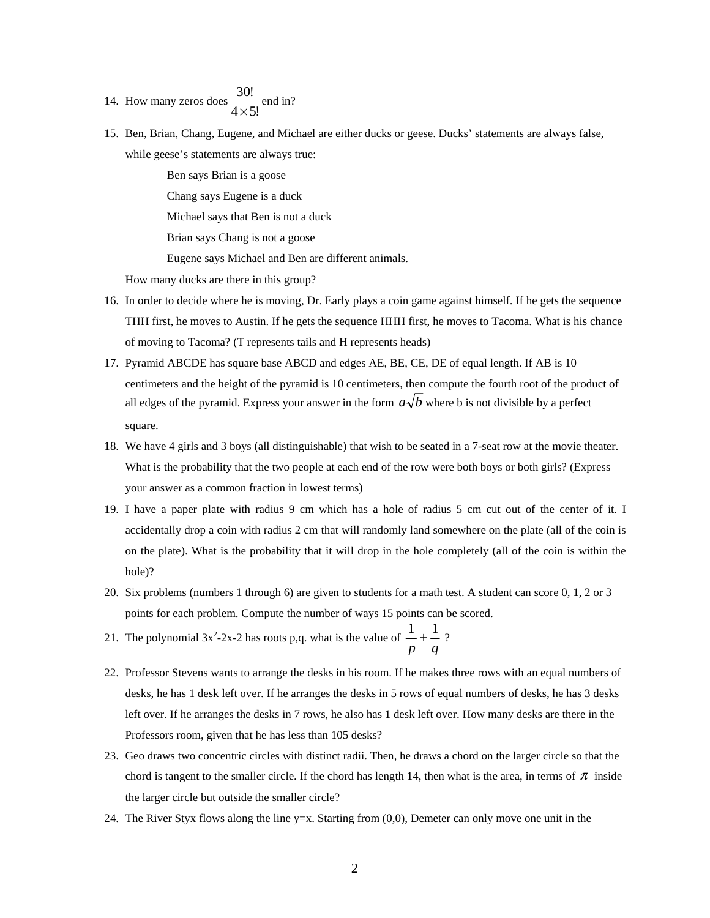14. How many zeros does  $\frac{20!}{4 \times 5!}$ 30!  $\frac{\sqrt{31}}{1}$  end in?

15. Ben, Brian, Chang, Eugene, and Michael are either ducks or geese. Ducks' statements are always false, while geese's statements are always true:

> Ben says Brian is a goose Chang says Eugene is a duck Michael says that Ben is not a duck Brian says Chang is not a goose Eugene says Michael and Ben are different animals.

How many ducks are there in this group?

- 16. In order to decide where he is moving, Dr. Early plays a coin game against himself. If he gets the sequence THH first, he moves to Austin. If he gets the sequence HHH first, he moves to Tacoma. What is his chance of moving to Tacoma? (T represents tails and H represents heads)
- 17. Pyramid ABCDE has square base ABCD and edges AE, BE, CE, DE of equal length. If AB is 10 centimeters and the height of the pyramid is 10 centimeters, then compute the fourth root of the product of all edges of the pyramid. Express your answer in the form  $a\sqrt{b}$  where b is not divisible by a perfect square.
- 18. We have 4 girls and 3 boys (all distinguishable) that wish to be seated in a 7-seat row at the movie theater. What is the probability that the two people at each end of the row were both boys or both girls? (Express your answer as a common fraction in lowest terms)
- 19. I have a paper plate with radius 9 cm which has a hole of radius 5 cm cut out of the center of it. I accidentally drop a coin with radius 2 cm that will randomly land somewhere on the plate (all of the coin is on the plate). What is the probability that it will drop in the hole completely (all of the coin is within the hole)?
- 20. Six problems (numbers 1 through 6) are given to students for a math test. A student can score 0, 1, 2 or 3 points for each problem. Compute the number of ways 15 points can be scored.
- 21. The polynomial  $3x^2-2x-2$  has roots p,q. what is the value of  $\frac{1}{p} + \frac{1}{q}$  $\frac{1}{-} + \frac{1}{-}$  ?
- 22. Professor Stevens wants to arrange the desks in his room. If he makes three rows with an equal numbers of desks, he has 1 desk left over. If he arranges the desks in 5 rows of equal numbers of desks, he has 3 desks left over. If he arranges the desks in 7 rows, he also has 1 desk left over. How many desks are there in the Professors room, given that he has less than 105 desks?
- 23. Geo draws two concentric circles with distinct radii. Then, he draws a chord on the larger circle so that the chord is tangent to the smaller circle. If the chord has length 14, then what is the area, in terms of  $\pi$  inside the larger circle but outside the smaller circle?
- 24. The River Styx flows along the line y=x. Starting from (0,0), Demeter can only move one unit in the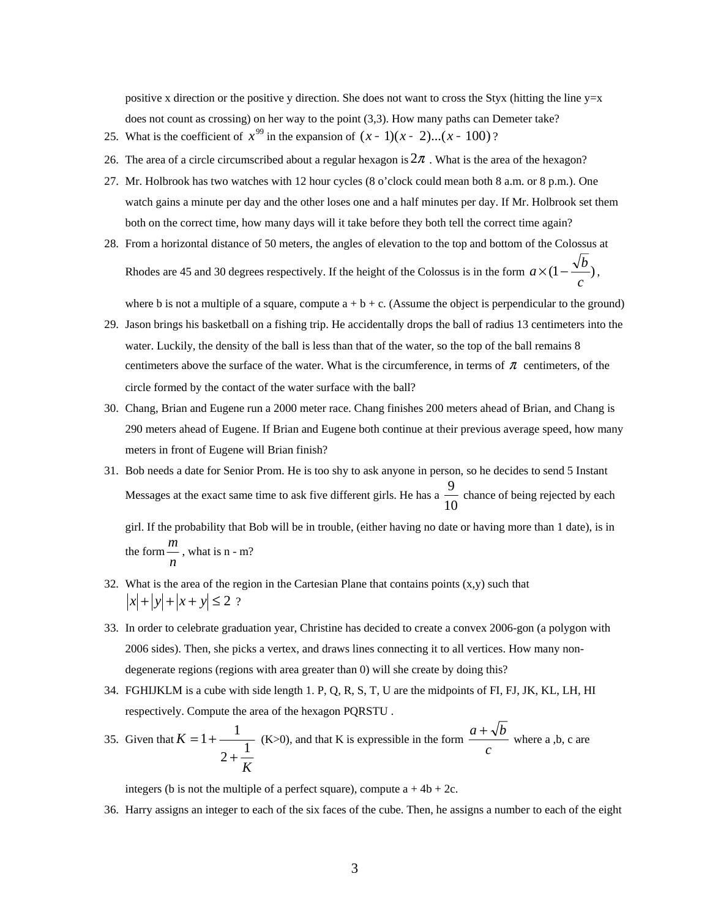positive x direction or the positive y direction. She does not want to cross the Styx (hitting the line  $y=x$ does not count as crossing) on her way to the point (3,3). How many paths can Demeter take?

- 25. What is the coefficient of  $x^{99}$  in the expansion of  $(x 1)(x 2)...(x 100)$  ?
- 26. The area of a circle circumscribed about a regular hexagon is  $2\pi$ . What is the area of the hexagon?
- 27. Mr. Holbrook has two watches with 12 hour cycles (8 o'clock could mean both 8 a.m. or 8 p.m.). One watch gains a minute per day and the other loses one and a half minutes per day. If Mr. Holbrook set them both on the correct time, how many days will it take before they both tell the correct time again?
- 28. From a horizontal distance of 50 meters, the angles of elevation to the top and bottom of the Colossus at Rhodes are 45 and 30 degrees respectively. If the height of the Colossus is in the form  $a \times (1 - \frac{\sqrt{b}}{2})$ *c*  $a \times (1 - \frac{\sqrt{b}}{\cdot}),$

where b is not a multiple of a square, compute  $a + b + c$ . (Assume the object is perpendicular to the ground)

- 29. Jason brings his basketball on a fishing trip. He accidentally drops the ball of radius 13 centimeters into the water. Luckily, the density of the ball is less than that of the water, so the top of the ball remains 8 centimeters above the surface of the water. What is the circumference, in terms of  $\pi$  centimeters, of the circle formed by the contact of the water surface with the ball?
- 30. Chang, Brian and Eugene run a 2000 meter race. Chang finishes 200 meters ahead of Brian, and Chang is 290 meters ahead of Eugene. If Brian and Eugene both continue at their previous average speed, how many meters in front of Eugene will Brian finish?
- 31. Bob needs a date for Senior Prom. He is too shy to ask anyone in person, so he decides to send 5 Instant Messages at the exact same time to ask five different girls. He has a  $\frac{1}{10}$ 9<br>
chance of being rejected by each
	- girl. If the probability that Bob will be in trouble, (either having no date or having more than 1 date), is in the form  $\frac{n}{n}$ *m* , what is n - m?
- 32. What is the area of the region in the Cartesian Plane that contains points  $(x,y)$  such that  $|x| + |y| + |x + y| \le 2$ ?
- 33. In order to celebrate graduation year, Christine has decided to create a convex 2006-gon (a polygon with 2006 sides). Then, she picks a vertex, and draws lines connecting it to all vertices. How many nondegenerate regions (regions with area greater than 0) will she create by doing this?
- 34. FGHIJKLM is a cube with side length 1. P, Q, R, S, T, U are the midpoints of FI, FJ, JK, KL, LH, HI respectively. Compute the area of the hexagon PQRSTU .

35. Given that 
$$
K = 1 + \frac{1}{2 + \frac{1}{K}}
$$
 (K>0), and that K is expressible in the form  $\frac{a + \sqrt{b}}{c}$  where a, b, c are

integers (b is not the multiple of a perfect square), compute  $a + 4b + 2c$ .

36. Harry assigns an integer to each of the six faces of the cube. Then, he assigns a number to each of the eight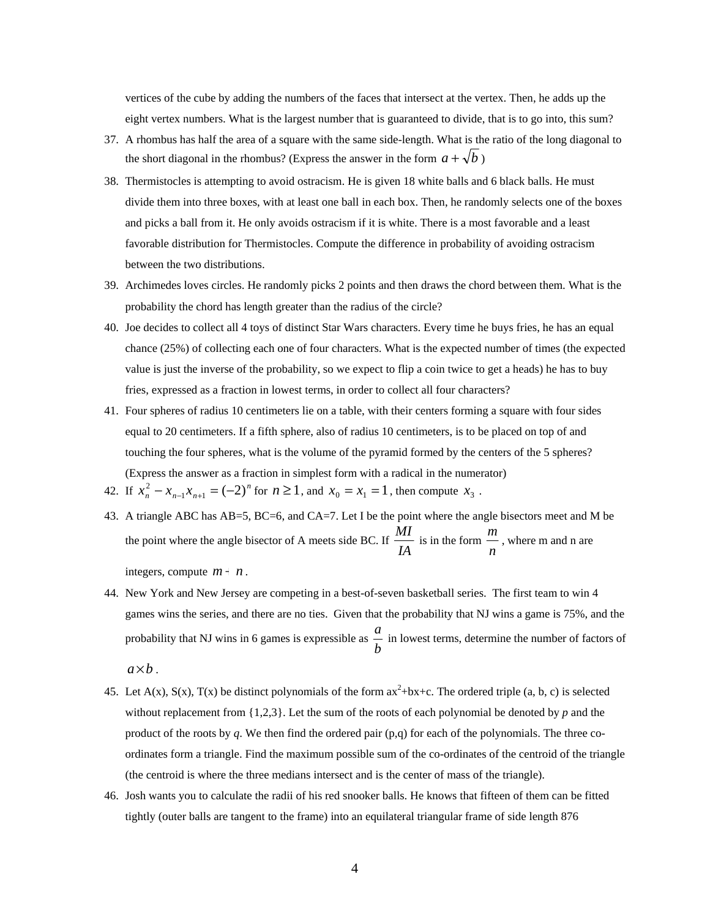vertices of the cube by adding the numbers of the faces that intersect at the vertex. Then, he adds up the eight vertex numbers. What is the largest number that is guaranteed to divide, that is to go into, this sum?

- 37. A rhombus has half the area of a square with the same side-length. What is the ratio of the long diagonal to the short diagonal in the rhombus? (Express the answer in the form  $a + \sqrt{b}$ )
- 38. Thermistocles is attempting to avoid ostracism. He is given 18 white balls and 6 black balls. He must divide them into three boxes, with at least one ball in each box. Then, he randomly selects one of the boxes and picks a ball from it. He only avoids ostracism if it is white. There is a most favorable and a least favorable distribution for Thermistocles. Compute the difference in probability of avoiding ostracism between the two distributions.
- 39. Archimedes loves circles. He randomly picks 2 points and then draws the chord between them. What is the probability the chord has length greater than the radius of the circle?
- 40. Joe decides to collect all 4 toys of distinct Star Wars characters. Every time he buys fries, he has an equal chance (25%) of collecting each one of four characters. What is the expected number of times (the expected value is just the inverse of the probability, so we expect to flip a coin twice to get a heads) he has to buy fries, expressed as a fraction in lowest terms, in order to collect all four characters?
- 41. Four spheres of radius 10 centimeters lie on a table, with their centers forming a square with four sides equal to 20 centimeters. If a fifth sphere, also of radius 10 centimeters, is to be placed on top of and touching the four spheres, what is the volume of the pyramid formed by the centers of the 5 spheres? (Express the answer as a fraction in simplest form with a radical in the numerator)
- 42. If  $x_n^2 x_{n-1}x_{n+1} = (-2)^n$  for  $n \ge 1$ , and  $x_0 = x_1 = 1$ , then compute  $x_3$ .
- 43. A triangle ABC has AB=5, BC=6, and CA=7. Let I be the point where the angle bisectors meet and M be the point where the angle bisector of A meets side BC. If *IA*  $\frac{MI}{IA}$  is in the form  $\frac{m}{n}$ *<sup>m</sup>* , where m and n are

integers, compute  $m + n$ .

- 44. New York and New Jersey are competing in a best-of-seven basketball series. The first team to win 4 games wins the series, and there are no ties. Given that the probability that NJ wins a game is 75%, and the probability that NJ wins in 6 games is expressible as  $\frac{a}{b}$  $\frac{a}{b}$  in lowest terms, determine the number of factors of  $a \times b$ .
- 45. Let  $A(x)$ ,  $S(x)$ ,  $T(x)$  be distinct polynomials of the form  $ax^2+bx+c$ . The ordered triple (a, b, c) is selected without replacement from {1,2,3}. Let the sum of the roots of each polynomial be denoted by *p* and the product of the roots by *q*. We then find the ordered pair (p,q) for each of the polynomials. The three coordinates form a triangle. Find the maximum possible sum of the co-ordinates of the centroid of the triangle (the centroid is where the three medians intersect and is the center of mass of the triangle).
- 46. Josh wants you to calculate the radii of his red snooker balls. He knows that fifteen of them can be fitted tightly (outer balls are tangent to the frame) into an equilateral triangular frame of side length 876